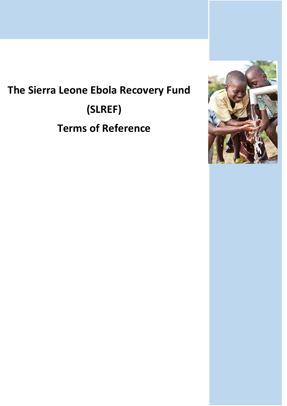# **The Sierra Leone Ebola Recovery Fund (SLREF) Terms of Reference**

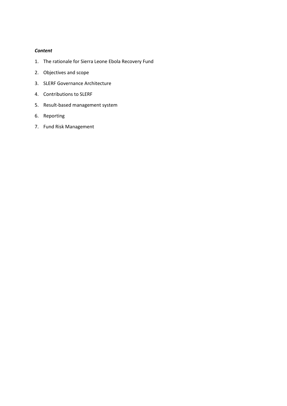## *Content*

- 1. The rationale for Sierra Leone Ebola Recovery Fund
- 2. Objectives and scope
- 3. SLERF Governance Architecture
- 4. Contributions to SLERF
- 5. Result-based management system
- 6. Reporting
- 7. Fund Risk Management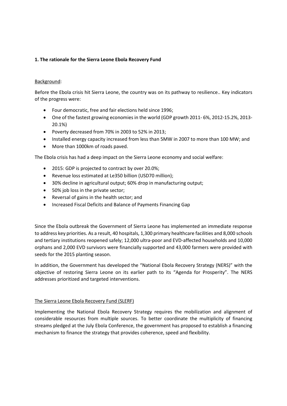# **1. The rationale for the Sierra Leone Ebola Recovery Fund**

## Background:

Before the Ebola crisis hit Sierra Leone, the country was on its pathway to resilience.. Key indicators of the progress were:

- Four democratic, free and fair elections held since 1996;
- One of the fastest growing economies in the world (GDP growth 2011- 6%, 2012-15.2%, 2013- 20.1%)
- Poverty decreased from 70% in 2003 to 52% in 2013;
- Installed energy capacity increased from less than 5MW in 2007 to more than 100 MW; and
- More than 1000km of roads paved.

The Ebola crisis has had a deep impact on the Sierra Leone economy and social welfare:

- 2015: GDP is projected to contract by over 20.0%;
- Revenue loss estimated at Le350 billion (USD70 million);
- 30% decline in agricultural output; 60% drop in manufacturing output;
- 50% job loss in the private sector;
- Reversal of gains in the health sector; and
- Increased Fiscal Deficits and Balance of Payments Financing Gap

Since the Ebola outbreak the Government of Sierra Leone has implemented an immediate response to address key priorities. As a result, 40 hospitals, 1,300 primary healthcare facilities and 8,000 schools and tertiary institutions reopened safely; 12,000 ultra-poor and EVD-affected households and 10,000 orphans and 2,000 EVD survivors were financially supported and 43,000 farmers were provided with seeds for the 2015 planting season.

In addition, the Government has developed the "National Ebola Recovery Strategy (NERS)" with the objective of restoring Sierra Leone on its earlier path to its "Agenda for Prosperity". The NERS addresses prioritized and targeted interventions.

## The Sierra Leone Ebola Recovery Fund (SLERF)

Implementing the National Ebola Recovery Strategy requires the mobilization and alignment of considerable resources from multiple sources. To better coordinate the multiplicity of financing streams pledged at the July Ebola Conference, the government has proposed to establish a financing mechanism to finance the strategy that provides coherence, speed and flexibility.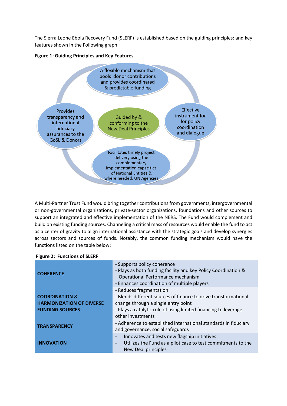The Sierra Leone Ebola Recovery Fund (SLERF) is established based on the guiding principles: and key features shown in the Following graph:





A Multi-Partner Trust Fund would bring together contributions from governments, intergovernmental or non-governmental organizations, private-sector organizations, foundations and other sources to support an integrated and effective implementation of the NERS. The Fund would complement and build on existing funding sources. Channeling a critical mass of resources would enable the fund to act as a center of gravity to align international assistance with the strategic goals and develop synergies across sectors and sources of funds. Notably, the common funding mechanism would have the functions listed on the table below:

| <b>COHERENCE</b>                                                                       | - Supports policy coherence<br>- Plays as both funding facility and key Policy Coordination &<br>Operational Performance mechanism<br>- Enhances coordination of multiple players                                         |
|----------------------------------------------------------------------------------------|---------------------------------------------------------------------------------------------------------------------------------------------------------------------------------------------------------------------------|
| <b>COORDINATION &amp;</b><br><b>HARMONIZATION OF DIVERSE</b><br><b>FUNDING SOURCES</b> | - Reduces fragmentation<br>- Blends different sources of finance to drive transformational<br>change through a single entry point<br>- Plays a catalytic role of using limited financing to leverage<br>other investments |
| <b>TRANSPARENCY</b>                                                                    | - Adherence to established international standards in fiduciary<br>and governance, social safeguards                                                                                                                      |
| <b>INNOVATION</b>                                                                      | Innovates and tests new flagship initiatives<br>$\overline{\phantom{m}}$<br>Utilizes the Fund as a pilot case to test commitments to the<br>$\overline{\phantom{a}}$<br>New Deal principles                               |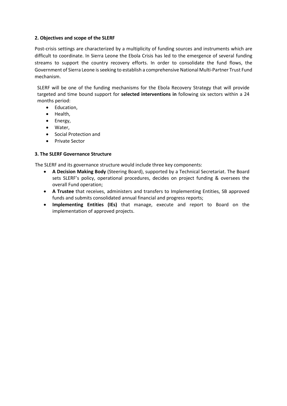## **2. Objectives and scope of the SLERF**

Post-crisis settings are characterized by a multiplicity of funding sources and instruments which are difficult to coordinate. In Sierra Leone the Ebola Crisis has led to the emergence of several funding streams to support the country recovery efforts. In order to consolidate the fund flows, the Government of Sierra Leone is seeking to establish a comprehensive National Multi-Partner Trust Fund mechanism.

SLERF will be one of the funding mechanisms for the Ebola Recovery Strategy that will provide targeted and time bound support for **selected interventions in** following six sectors within a 24 months period:

- Education,
- Health.
- Energy,
- Water,
- Social Protection and
- **•** Private Sector

## **3. The SLERF Governance Structure**

The SLERF and its governance structure would include three key components:

- **A Decision Making Body** (Steering Board), supported by a Technical Secretariat. The Board sets SLERF's policy, operational procedures, decides on project funding & oversees the overall Fund operation;
- **A Trustee** that receives, administers and transfers to Implementing Entities, SB approved funds and submits consolidated annual financial and progress reports;
- **Implementing Entities (IEs)** that manage, execute and report to Board on the implementation of approved projects.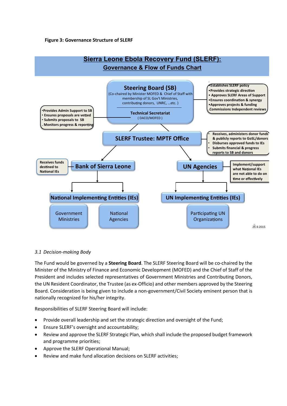

## *3.1 Decision-making Body*

The Fund would be governed by a **Steering Board**. The SLERF Steering Board will be co-chaired by the Minister of the Ministry of Finance and Economic Development (MOFED) and the Chief of Staff of the President and includes selected representatives of Government Ministries and Contributing Donors, the UN Resident Coordinator, the Trustee (as ex-Officio) and other members approved by the Steering Board. Consideration is being given to include a non-government/Civil Society eminent person that is nationally recognized for his/her integrity.

Responsibilities of SLERF Steering Board will include:

- Provide overall leadership and set the strategic direction and oversight of the Fund;
- Ensure SLERF's oversight and accountability;
- Review and approve the SLERF Strategic Plan, which shall include the proposed budget framework and programme priorities;
- Approve the SLERF Operational Manual;
- Review and make fund allocation decisions on SLERF activities;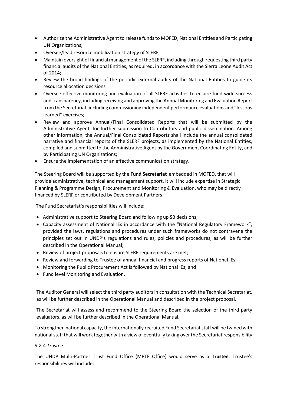- Authorize the Administrative Agent to release funds to MOFED, National Entities and Participating UN Organizations;
- Oversee/lead resource mobilization strategy of SLERF;
- Maintain oversight of financial management of the SLERF, including through requesting third party financial audits of the National Entities, as required, in accordance with the Sierra Leone Audit Act of 2014;
- Review the broad findings of the periodic external audits of the National Entities to guide its resource allocation decisions
- Oversee effective monitoring and evaluation of all SLERF activities to ensure fund-wide success and transparency, including receiving and approving the Annual Monitoring and Evaluation Report from the Secretariat, including commissioning independent performance evaluations and "lessons learned" exercises;
- Review and approve Annual/Final Consolidated Reports that will be submitted by the Administrative Agent, for further submission to Contributors and public dissemination. Among other information, the Annual/Final Consolidated Report*s* shall include the annual consolidated narrative and financial reports of the SLERF projects, as implemented by the National Entities, compiled and submitted to the Administrative Agent by the Government Coordinating Entity, and by Participating UN Organizations;
- Ensure the implementation of an effective communication strategy.

The Steering Board will be supported by the **Fund Secretariat** embedded in MOFED, that will provide administrative, technical and management support. It will include expertise in Strategic Planning & Programme Design, Procurement and Monitoring & Evaluation, who may be directly financed by SLERF or contributed by Development Partners.

The Fund Secretariat's responsibilities will include:

- Administrative support to Steering Board and following up SB decisions;
- Capacity assessment of National IEs in accordance with the "National Regulatory Framework", provided the laws, regulations and procedures under such frameworks do not contravene the principles set out in UNDP's regulations and rules, policies and procedures, as will be further described in the Operational Manual;
- Review of project proposals to ensure SLERF requirements are met;
- Review and forwarding to Trustee of annual financial and progress reports of National IEs;
- Monitoring the Public Procurement Act is followed by National IEs; and
- Fund level Monitoring and Evaluation.

The Auditor General will select the third party auditors in consultation with the Technical Secretariat, as will be further described in the Operational Manual and described in the project proposal.

The Secretariat will assess and recommend to the Steering Board the selection of the third party evaluators, as will be further described in the Operational Manual.

To strengthen national capacity, the internationally recruited Fund Secretariat staff will be twined with national staff that will work together with a view of eventfully taking over the Secretariat responsibility

## *3.2 A Trustee*

The UNDP Multi-Partner Trust Fund Office (MPTF Office) would serve as a **Trustee**. Trustee's responsibilities will include: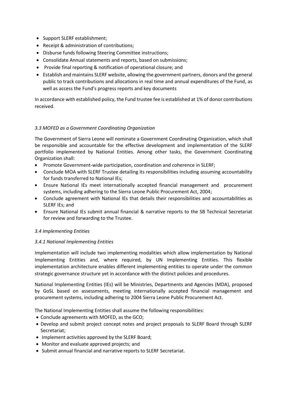- Support SLERF establishment;
- Receipt & administration of contributions;
- Disburse funds following Steering Committee instructions;
- Consolidate Annual statements and reports, based on submissions;
- Provide final reporting & notification of operational closure; and
- Establish and maintains SLERF website, allowing the government partners, donors and the general public to track contributions and allocations in real time and annual expenditures of the Fund, as well as access the Fund's progress reports and key documents

In accordance with established policy, the Fund trustee fee is established at 1% of donor contributions received.

# *3.3 MOFED as a Government Coordinating Organization*

The Government of Sierra Leone will nominate a Government Coordinating Organization, which shall be responsible and accountable for the effective development and implementation of the SLERF portfolio implemented by National Entities. Among other tasks, the Government Coordinating Organization shall:

- Promote Government-wide participation, coordination and coherence in SLERF;
- Conclude MOA with SLERF Trustee detailing its responsibilities including assuming accountability for funds transferred to National IEs;
- Ensure National IEs meet internationally accepted financial management and procurement systems, including adhering to the Sierra Leone Public Procurement Act, 2004;
- Conclude agreement with National IEs that details their responsibilities and accountabilities as SLERF IEs; and
- Ensure National IEs submit annual financial & narrative reports to the SB Technical Secretariat for review and forwarding to the Trustee.

# *3.4 Implementing Entities*

# *3.4.1 National Implementing Entities*

Implementation will include two implementing modalities which allow implementation by National Implementing Entities and, where required, by UN Implementing Entities. This flexible implementation architecture enables different implementing entities to operate under the common strategic governance structure yet in accordance with the distinct policies and procedures.

National Implementing Entities (IEs) will be Ministries, Departments and Agencies (MDA), proposed by GoSL based on assessments, meeting internationally accepted financial management and procurement systems, including adhering to 2004 Sierra Leone Public Procurement Act.

The National Implementing Entities shall assume the following responsibilities:

- Conclude agreements with MOFED, as the GCO;
- Develop and submit project concept notes and project proposals to SLERF Board through SLERF Secretariat;
- Implement activities approved by the SLERF Board;
- Monitor and evaluate approved projects; and
- Submit annual financial and narrative reports to SLERF Secretariat.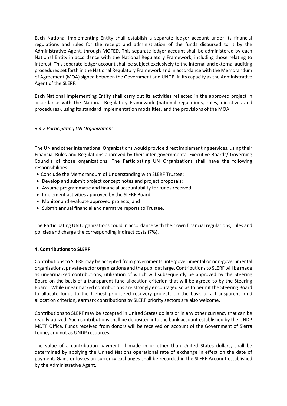Each National Implementing Entity shall establish a separate ledger account under its financial regulations and rules for the receipt and administration of the funds disbursed to it by the Administrative Agent, through MOFED. This separate ledger account shall be administered by each National Entity in accordance with the National Regulatory Framework, including those relating to interest. This separate ledger account shall be subject exclusively to the internal and external auditing procedures set forth in the National Regulatory Framework and in accordance with the Memorandum of Agreement (MOA) signed between the Government and UNDP, in its capacity as the Administrative Agent of the SLERF.

Each National Implementing Entity shall carry out its activities reflected in the approved project in accordance with the National Regulatory Framework (national regulations, rules, directives and procedures), using its standard implementation modalities, and the provisions of the MOA.

## *3.4.2 Participating UN Organizations*

The UN and other International Organizations would provide direct implementing services, using their Financial Rules and Regulations approved by their inter-governmental Executive Boards/ Governing Councils of those organizations. The Participating UN Organizations shall have the following responsibilities:

- Conclude the Memorandum of Understanding with SLERF Trustee;
- Develop and submit project concept notes and project proposals;
- Assume programmatic and financial accountability for funds received;
- Implement activities approved by the SLERF Board;
- Monitor and evaluate approved projects; and
- Submit annual financial and narrative reports to Trustee.

The Participating UN Organizations could in accordance with their own financial regulations, rules and policies and charge the corresponding indirect costs (7%).

## **4. Contributions to SLERF**

Contributions to SLERF may be accepted from governments, intergovernmental or non-governmental organizations, private-sector organizations and the public at large. Contributions to SLERF will be made as unearmarked contributions, utilization of which will subsequently be approved by the Steering Board on the basis of a transparent fund allocation criterion that will be agreed to by the Steering Board. While unearmarked contributions are strongly encouraged so as to permit the Steering Board to allocate funds to the highest prioritized recovery projects on the basis of a transparent fund allocation criterion, earmark contributions by SLERF priority sectors are also welcome.

Contributions to SLERF may be accepted in United States dollars or in any other currency that can be readily utilized. Such contributions shall be deposited into the bank account established by the UNDP MDTF Office. Funds received from donors will be received on account of the Government of Sierra Leone, and not as UNDP resources.

The value of a contribution payment, if made in or other than United States dollars, shall be determined by applying the United Nations operational rate of exchange in effect on the date of payment. Gains or losses on currency exchanges shall be recorded in the SLERF Account established by the Administrative Agent.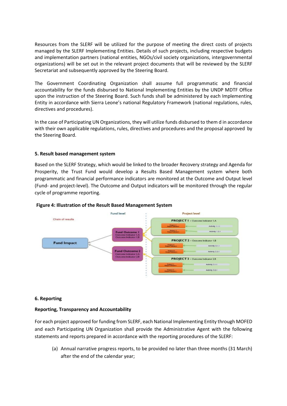Resources from the SLERF will be utilized for the purpose of meeting the direct costs of projects managed by the SLERF Implementing Entities. Details of such projects, including respective budgets and implementation partners (national entities, NGOs/civil society organizations, intergovernmental organizations) will be set out in the relevant project documents that will be reviewed by the SLERF Secretariat and subsequently approved by the Steering Board.

The Government Coordinating Organization shall assume full programmatic and financial accountability for the funds disbursed to National Implementing Entities by the UNDP MDTF Office upon the instruction of the Steering Board. Such funds shall be administered by each Implementing Entity in accordance with Sierra Leone's national Regulatory Framework (national regulations, rules, directives and procedures).

In the case of Participating UN Organizations, they will utilize funds disbursed to them d in accordance with their own applicable regulations, rules, directives and procedures and the proposal approved by the Steering Board.

## **5. Result based management system**

Based on the SLERF Strategy, which would be linked to the broader Recovery strategy and Agenda for Prosperity, the Trust Fund would develop a Results Based Management system where both programmatic and financial performance indicators are monitored at the Outcome and Output level (Fund- and project-level). The Outcome and Output indicators will be monitored through the regular cycle of programme reporting.



## **Figure 4: Illustration of the Result Based Management System**

## **6. Reporting**

## **Reporting, Transparency and Accountability**

For each project approved for funding from SLERF, each National Implementing Entity through MOFED and each Participating UN Organization shall provide the Administrative Agent with the following statements and reports prepared in accordance with the reporting procedures of the SLERF:

(a) Annual narrative progress reports, to be provided no later than three months (31 March) after the end of the calendar year;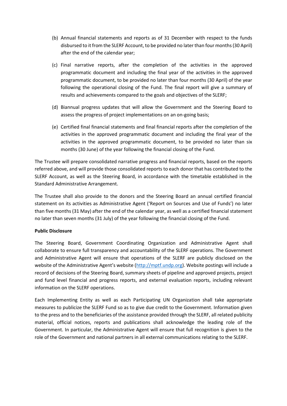- (b) Annual financial statements and reports as of 31 December with respect to the funds disbursed to it from the SLERF Account, to be provided no later than four months (30 April) after the end of the calendar year;
- (c) Final narrative reports, after the completion of the activities in the approved programmatic document and including the final year of the activities in the approved programmatic document, to be provided no later than four months (30 April) of the year following the operational closing of the Fund. The final report will give a summary of results and achievements compared to the goals and objectives of the SLERF;
- (d) Biannual progress updates that will allow the Government and the Steering Board to assess the progress of project implementations on an on-going basis;
- (e) Certified final financial statements and final financial reports after the completion of the activities in the approved programmatic document and including the final year of the activities in the approved programmatic document, to be provided no later than six months (30 June) of the year following the financial closing of the Fund.

The Trustee will prepare consolidated narrative progress and financial reports, based on the reports referred above, and will provide those consolidated reports to each donor that has contributed to the SLERF Account, as well as the Steering Board, in accordance with the timetable established in the Standard Administrative Arrangement.

The Trustee shall also provide to the donors and the Steering Board an annual certified financial statement on its activities as Administrative Agent ('Report on Sources and Use of Funds') no later than five months (31 May) after the end of the calendar year, as well as a certified financial statement no later than seven months (31 July) of the year following the financial closing of the Fund.

# **Public Disclosure**

The Steering Board, Government Coordinating Organization and Administrative Agent shall collaborate to ensure full transparency and accountability of the SLERF operations. The Government and Administrative Agent will ensure that operations of the SLERF are publicly disclosed on the website of the Administrative Agent's website ([http://mptf.undp.org\)](http://mptf.undp.org/). Website postings will include a record of decisions of the Steering Board, summary sheets of pipeline and approved projects, project and fund level financial and progress reports, and external evaluation reports, including relevant information on the SLERF operations.

Each Implementing Entity as well as each Participating UN Organization shall take appropriate measures to publicize the SLERF Fund so as to give due credit to the Government. Information given to the press and to the beneficiaries of the assistance provided through the SLERF, all related publicity material, official notices, reports and publications shall acknowledge the leading role of the Government. In particular, the Administrative Agent will ensure that full recognition is given to the role of the Government and national partners in all external communications relating to the SLERF.